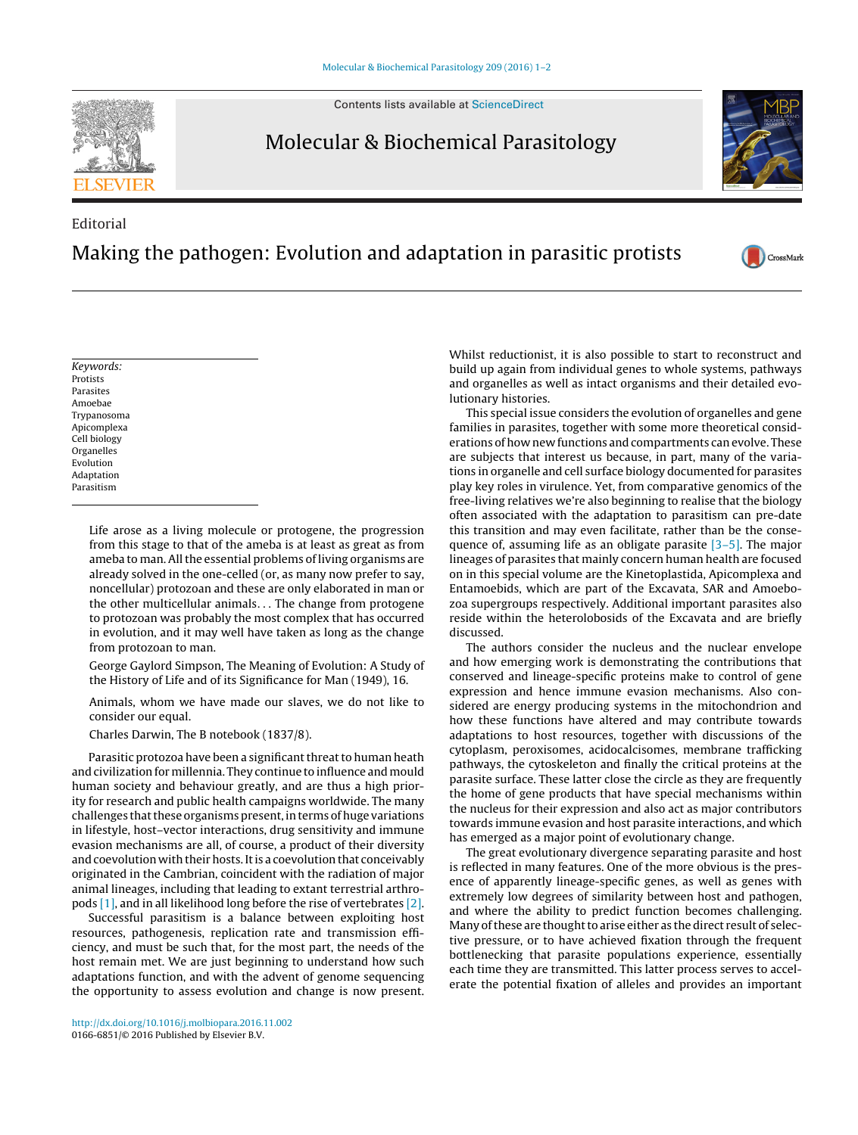Contents lists available at [ScienceDirect](http://www.sciencedirect.com/science/journal/01666851)

## Molecular & Biochemical Parasitology

## Editorial Making the pathogen: Evolution and adaptation in parasitic protists

Whilst reductionist, it is also possible to start to reconstruct and build up again from individual genes to whole systems, pathways and organelles as well as intact organisms and their detailed evolutionary histories.

This special issue considers the evolution of organelles and gene families in parasites, together with some more theoretical considerations of how new functions and compartments can evolve. These are subjects that interest us because, in part, many of the variations in organelle and cell surface biology documented for parasites play key roles in virulence. Yet, from comparative genomics of the free-living relatives we're also beginning to realise that the biology often associated with the adaptation to parasitism can pre-date this transition and may even facilitate, rather than be the consequence of, assuming life as an obligate parasite [\[3–5\].](#page-1-0) The major lineages of parasites that mainly concern human health are focused on in this special volume are the Kinetoplastida, Apicomplexa and Entamoebids, which are part of the Excavata, SAR and Amoebozoa supergroups respectively. Additional important parasites also reside within the heterolobosids of the Excavata and are briefly discussed.

The authors consider the nucleus and the nuclear envelope and how emerging work is demonstrating the contributions that conserved and lineage-specific proteins make to control of gene expression and hence immune evasion mechanisms. Also considered are energy producing systems in the mitochondrion and how these functions have altered and may contribute towards adaptations to host resources, together with discussions of the cytoplasm, peroxisomes, acidocalcisomes, membrane trafficking pathways, the cytoskeleton and finally the critical proteins at the parasite surface. These latter close the circle as they are frequently the home of gene products that have special mechanisms within the nucleus for their expression and also act as major contributors towards immune evasion and host parasite interactions, and which has emerged as a major point of evolutionary change.

The great evolutionary divergence separating parasite and host is reflected in many features. One of the more obvious is the presence of apparently lineage-specific genes, as well as genes with extremely low degrees of similarity between host and pathogen, and where the ability to predict function becomes challenging. Many of these are thought to arise either as the direct result of selective pressure, or to have achieved fixation through the frequent bottlenecking that parasite populations experience, essentially each time they are transmitted. This latter process serves to accelerate the potential fixation of alleles and provides an important

# [http://dx.doi.org/10.1016/j.molbiopara.2016.11.002](dx.doi.org/10.1016/j.molbiopara.2016.11.002)

0166-6851/© 2016 Published by Elsevier B.V.

Life arose as a living molecule or protogene, the progression from this stage to that of the ameba is at least as great as from ameba to man. All the essential problems of living organisms are already solved in the one-celled (or, as many now prefer to say, noncellular) protozoan and these are only elaborated in man or the other multicellular animals... The change from protogene to protozoan was probably the most complex that has occurred in evolution, and it may well have taken as long as the change from protozoan to man.

George Gaylord Simpson, The Meaning of Evolution: A Study of the History of Life and of its Significance for Man (1949), 16.

Animals, whom we have made our slaves, we do not like to consider our equal.

Charles Darwin, The B notebook (1837/8).

Parasitic protozoa have been a significant threat to human heath and civilization for millennia. They continue to influence and mould human society and behaviour greatly, and are thus a high priority for research and public health campaigns worldwide. The many challenges that these organisms present, in terms of huge variations in lifestyle, host–vector interactions, drug sensitivity and immune evasion mechanisms are all, of course, a product of their diversity and coevolution with their hosts. It is a coevolution that conceivably originated in the Cambrian, coincident with the radiation of major animal lineages, including that leading to extant terrestrial arthropods [\[1\], a](#page-1-0)nd in all likelihood long before the rise of vertebrates [\[2\].](#page-1-0)

Successful parasitism is a balance between exploiting host resources, pathogenesis, replication rate and transmission efficiency, and must be such that, for the most part, the needs of the host remain met. We are just beginning to understand how such adaptations function, and with the advent of genome sequencing the opportunity to assess evolution and change is now present.









Keywords: Protists Parasites Amoebae Trypanosoma Apicomplexa Cell biology Organelles Evolution Adaptation Parasitism